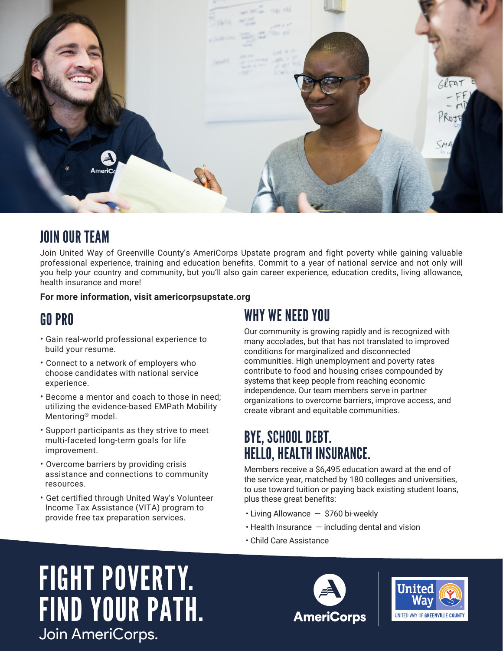

# JOIN OUR TEAM

Join United Way of Greenville County's AmeriCorps Upstate program and fight poverty while gaining valuable professional experience, training and education benefits. Commit to a year of national service and not only will you help your country and community, but you'll also gain career experience, education credits, living allowance, health insurance and more!

#### **For more information, visit americorpsupstate.org**

### GO PRO

- Gain real-world professional experience to build your resume.
- Connect to a network of employers who choose candidates with national service experience.
- Become a mentor and coach to those in need; utilizing the evidence-based EMPath Mobility Mentoring® model.
- Support participants as they strive to meet multi-faceted long-term goals for life improvement.
- Overcome barriers by providing crisis assistance and connections to community resources.
- Get certified through United Way's Volunteer Income Tax Assistance (VITA) program to provide free tax preparation services.

# WHY WE NEED YOU

Our community is growing rapidly and is recognized with many accolades, but that has not translated to improved conditions for marginalized and disconnected communities. High unemployment and poverty rates contribute to food and housing crises compounded by systems that keep people from reaching economic independence. Our team members serve in partner organizations to overcome barriers, improve access, and create vibrant and equitable communities.

# BYE, SCHOOL DEBT. HELLO, HEALTH INSURANCE.

Members receive a \$6,495 education award at the end of the service year, matched by 180 colleges and universities, to use toward tuition or paying back existing student loans, plus these great benefits:

- Living Allowance \$760 bi-weekly
- $\cdot$  Health Insurance  $-$  including dental and vision
- Child Care Assistance

# FIGHT POVERTY. FIND YOUR PATH. Join AmeriCorps.